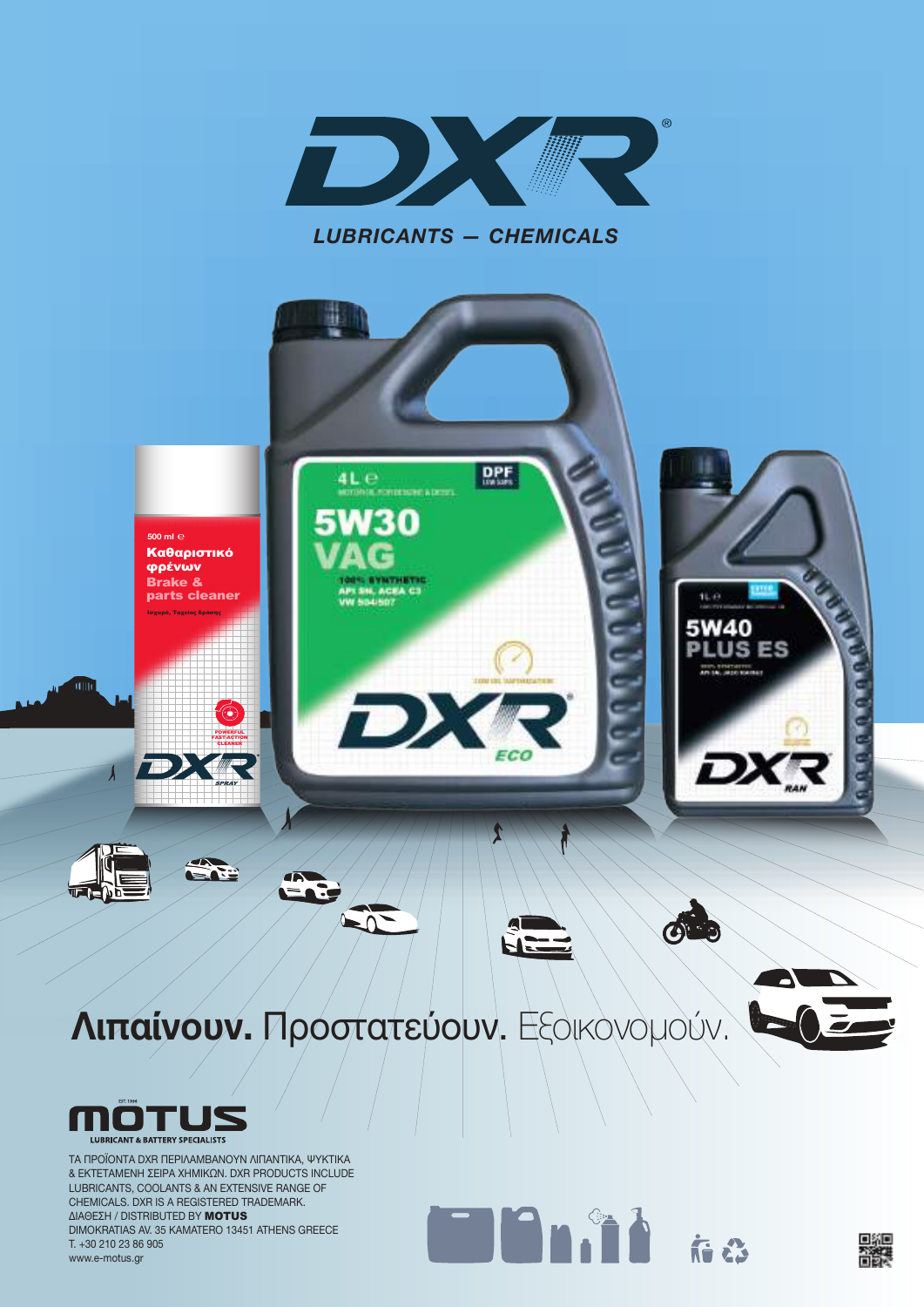

**Billian** 

国線



ΤΑ ΠΡΟΪΟΝΤΑ DXR ΠΕΡΙΛΑΜΒΑΝΟΥΝ ΛΙΠΑΝΤΙΚΑ, ΨΥΚΤΙΚΑ & ΕΚΤΕΤΑΜΕΝΗ ΣΕΙΡΑ ΧΗΜΙΚΩΝ. DXR PRODUCTS INCLUDE LUBRICANTS, COOLANTS & ΑΝ ΕΧTENSIVE RANGE OF CHEMICALS. DXR IS A REGISTERED TRADEMARK. ΔΙΑΘΕΣΗ / DISTRIBUTED BY MOTUS DIMOKRATIAS AV. 35 KAMATERO 13451 ATHENS GREECE T. +30 210 23 86 905 www.e-motus.gr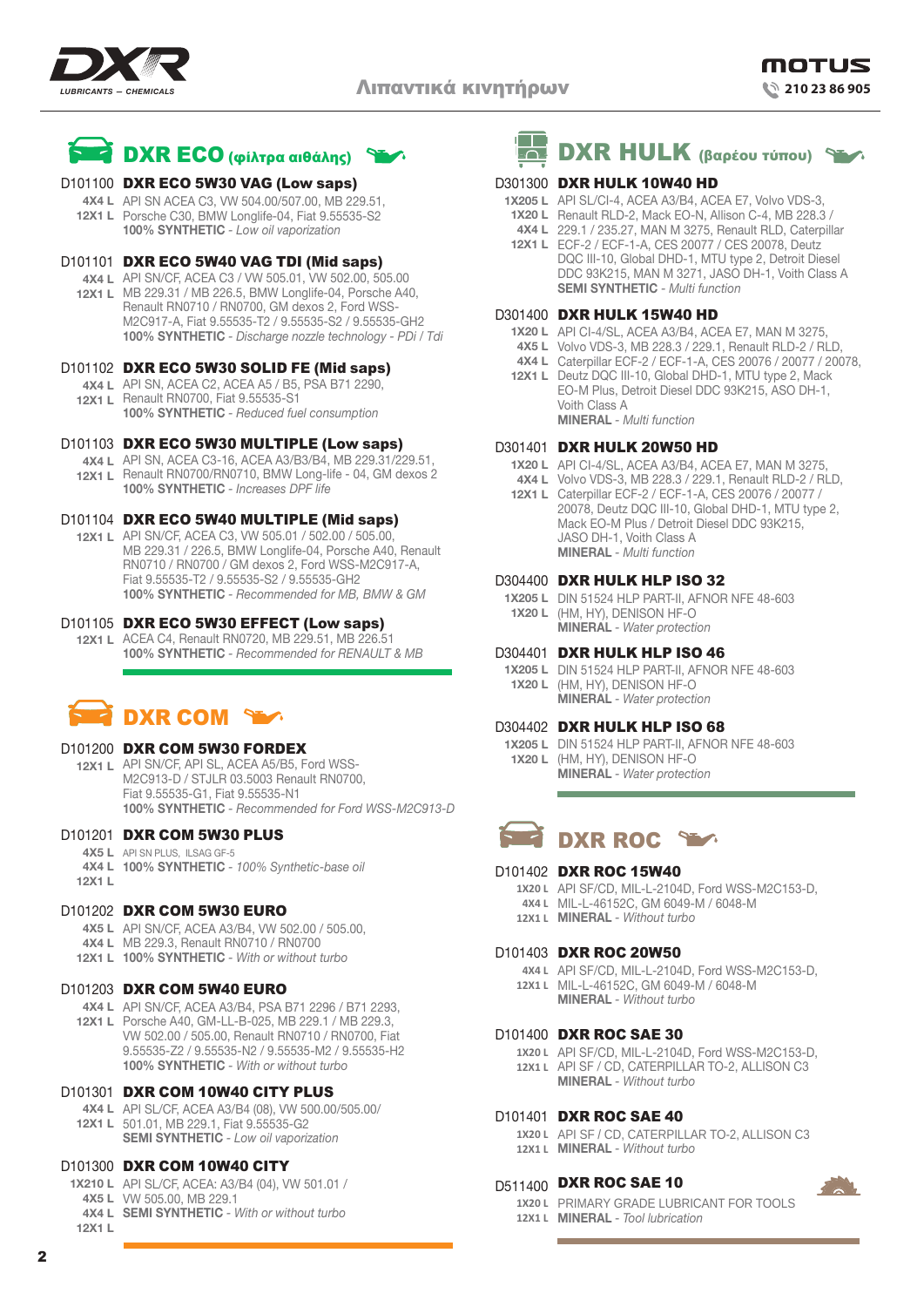



# D101100 DXR ECO 5W30 VAG (Low saps)

API SN ACEA C3, VW 504.00/507.00, MB 229.51, **4X4 L 12X1 L** Porsche C30, BMW Longlife-04, Fiat 9.55535-S2 **100% SYNTHETIC** *- Low oil vaporization* 

# D101101 DXR ECO 5W40 VAG TDI (Mid saps)

**4X4 L** API SN/CF, ACEA C3 / VW 505.01, VW 502.00, 505.00 **12X1 L** MB 229.31 / MB 226.5, BMW Longlife-04, Porsche A40, Renault RN0710 / RN0700, GM dexos 2, Ford WSS-M2C917-A, Fiat 9.55535-T2 / 9.55535-S2 / 9.55535-GH2 **100% SYNTHETIC** *- Discharge nozzle technology - PDi / Tdi*

# D101102 DXR ECO 5W30 SOLID FE (Mid saps)

- **4X4 L** API SN, ACEA C2, ACEA A5 / B5, PSA B71 2290,
- **12X1 L** Renault RN0700, Fiat 9.55535-S1 **100% SYNTHETIC** *- Reduced fuel consumption*

# D101103 DXR ECO 5W30 MULTIPLE (Low saps)

**4X4 L** API SN, ACEA C3-16, ACEA A3/B3/B4, MB 229.31/229.51, **12X1 L** Renault RN0700/RN0710, BMW Long-life - 04, GM dexos 2 **100% SYNTHETIC** *- Increases DPF life*

# D101104 DXR ECO 5W40 MULTIPLE (Mid saps)

**12X1 L** API SN/CF, ACEA C3, VW 505.01 / 502.00 / 505.00, MB 229.31 / 226.5, BMW Longlife-04, Porsche A40, Renault RN0710 / RN0700 / GM dexos 2, Ford WSS-M2C917-A, Fiat 9.55535-T2 / 9.55535-S2 / 9.55535-GH2 **100% SYNTHETIC** *- Recommended for MB, BMW & GM*

# D101105 DXR ECO 5W30 EFFECT (Low saps)

**12X1 L** ACEA C4, Renault RN0720, MB 229.51, MB 226.51 **100% SYNTHETIC** *- Recommended for RENAULT & MB*

# DXR COM

#### D101200 **DXR COM 5W30 FORDEX**

**12X1 L** API SN/CF, API SL, ACEA A5/B5, Ford WSS-M2C913-D / STJLR 03.5003 Renault RN0700, Fiat 9.55535-G1, Fiat 9.55535-N1 **100% SYNTHETIC** *- Recommended for Ford WSS-M2C913-D*

# D101201 **DXR COM 5W30 PLUS**

**4X5 L** API SN PLUS, ILSAG GF-5 **4X4 L 100% SYNTHETIC** *- 100% Synthetic-base oil* **12X1 L**

#### D101202 **DXR COM 5W30 EURO**

- **4X5 L** API SN/CF, ACEA A3/B4, VW 502.00 / 505.00,
- **4X4 L** MB 229.3, Renault RN0710 / RN0700
- **12X1 L 100% SYNTHETIC** *With or without turbo*

#### D101203 **DXR COM 5W40 EURO**

- **4X4 L** API SN/CF, ACEA A3/B4, PSA B71 2296 / B71 2293, **12X1 L** Porsche A40, GM-LL-B-025, MB 229.1 / MB 229.3, VW 502.00 / 505.00, Renault RN0710 / RN0700, Fiat
	- 9.55535-Z2 / 9.55535-N2 / 9.55535-M2 / 9.55535-H2 **100% SYNTHETIC** *- With or without turbo*

#### D101301 DXR COM 10W40 CITY PLUS

**4X4 L** API SL/CF, ACEA A3/B4 (08), VW 500.00/505.00/ **12X1 L** 501.01, MB 229.1, Fiat 9.55535-G2 **SEMI SYNTHETIC** *- Low oil vaporization*

# D101300 DXR COM 10W40 CITY

- **1X210 L** API SL/CF, ACEA: A3/B4 (04), VW 501.01 /
- **4X5 L** VW 505.00, MB 229.1
- **4X4 L SEMI SYNTHETIC** *With or without turbo* **12X1 L**



# D301300 DXR HULK 10W40 HD

- API SL/CI-4, ACEA A3/B4, ACEA E7, Volvo VDS-3, **1X205 L**
- **1X20 L** Renault RLD-2, Mack EO-N, Allison C-4, MB 228.3 /
- 229.1 / 235.27, MAN M 3275, Renault RLD, Caterpillar **4X4 L 12X1 L** ECF-2 / ECF-1-A, CES 20077 / CES 20078, Deutz DQC III-10, Global DHD-1, MTU type 2, Detroit Diesel
- DDC 93K215, MAN M 3271, JASO DH-1, Voith Class A **SEMI SYNTHETIC** *- Multi function*

# D301400 **DXR HULK 15W40 HD**

- **1X20 L** API CI-4/SL, ACEA A3/B4, ACEA E7, MAN M 3275,
- **4X5 L** Volvo VDS-3, MB 228.3 / 229.1, Renault RLD-2 / RLD,
- **4X4 L** Caterpillar ECF-2 / ECF-1-A, CES 20076 / 20077 / 20078,
- **12X1 L** Deutz DQC III-10, Global DHD-1, MTU type 2, Mack EO-M Plus, Detroit Diesel DDC 93K215, ASO DH-1, Voith Class A **MINERAL** *- Multi function*

# D301401 DXR HULK 20W50 HD

- **1X20 L** API CI-4/SL, ACEA A3/B4, ACEA E7, MAN M 3275,
- **4X4 L** Volvo VDS-3, MB 228.3 / 229.1, Renault RLD-2 / RLD,
- **12X1 L** Caterpillar ECF-2 / ECF-1-A, CES 20076 / 20077 / 20078, Deutz DQC III-10, Global DHD-1, MTU type 2, Mack EO-M Plus / Detroit Diesel DDC 93K215, JASO DH-1, Voith Class A **MINERAL** *- Multi function*

# D304400 **DXR HULK HLP ISO 32**

**1X205 L** DIN 51524 HLP PART-II, AFNOR NFE 48-603 (HM, HY), DENISON HF-O **1X20 L MINERAL** *- Water protection*

# D304401 **DXR HULK HLP ISO 46**

**1X205 L** DIN 51524 HLP PART-II, AFNOR NFE 48-603 (HM, HY), DENISON HF-O **1X20 L MINERAL** *- Water protection*

#### D304402 **DXR HULK HLP ISO 68**

**1X205 L** DIN 51524 HLP PART-II, AFNOR NFE 48-603 (HM, HY), DENISON HF-O **1X20 L MINERAL** *- Water protection*



# D101402 **DXR ROC 15W40**

- **1X20 L** API SF/CD, MIL-L-2104D, Ford WSS-M2C153-D, MIL-L-46152C, GM 6049-M / 6048-M **4X4 L**
- **MINERAL** *Without turbo* **12X1 L**

#### D101403 **DXR ROC 20W50**

**4X4 L** API SF/CD, MIL-L-2104D, Ford WSS-M2C153-D, **12X1 L** MIL-L-46152C, GM 6049-M / 6048-M **MINERAL** *- Without turbo*

#### D101400 **DXR ROC SAE 30**

**1X20 L** API SF/CD, MIL-L-2104D, Ford WSS-M2C153-D, **12X1 L** API SF / CD, CATERPILLAR TO-2, ALLISON C3 **MINERAL** *- Without turbo*

# D101401 **DXR ROC SAE 40**

**1X20 L** API SF / CD, CATERPILLAR TO-2, ALLISON C3 **12X1 L MINERAL** *- Without turbo*

# D511400 **DXR ROC SAE 10**

**1X20 L** PRIMARY GRADE LUBRICANT FOR TOOLS **12X1 L MINERAL** *- Tool lubrication*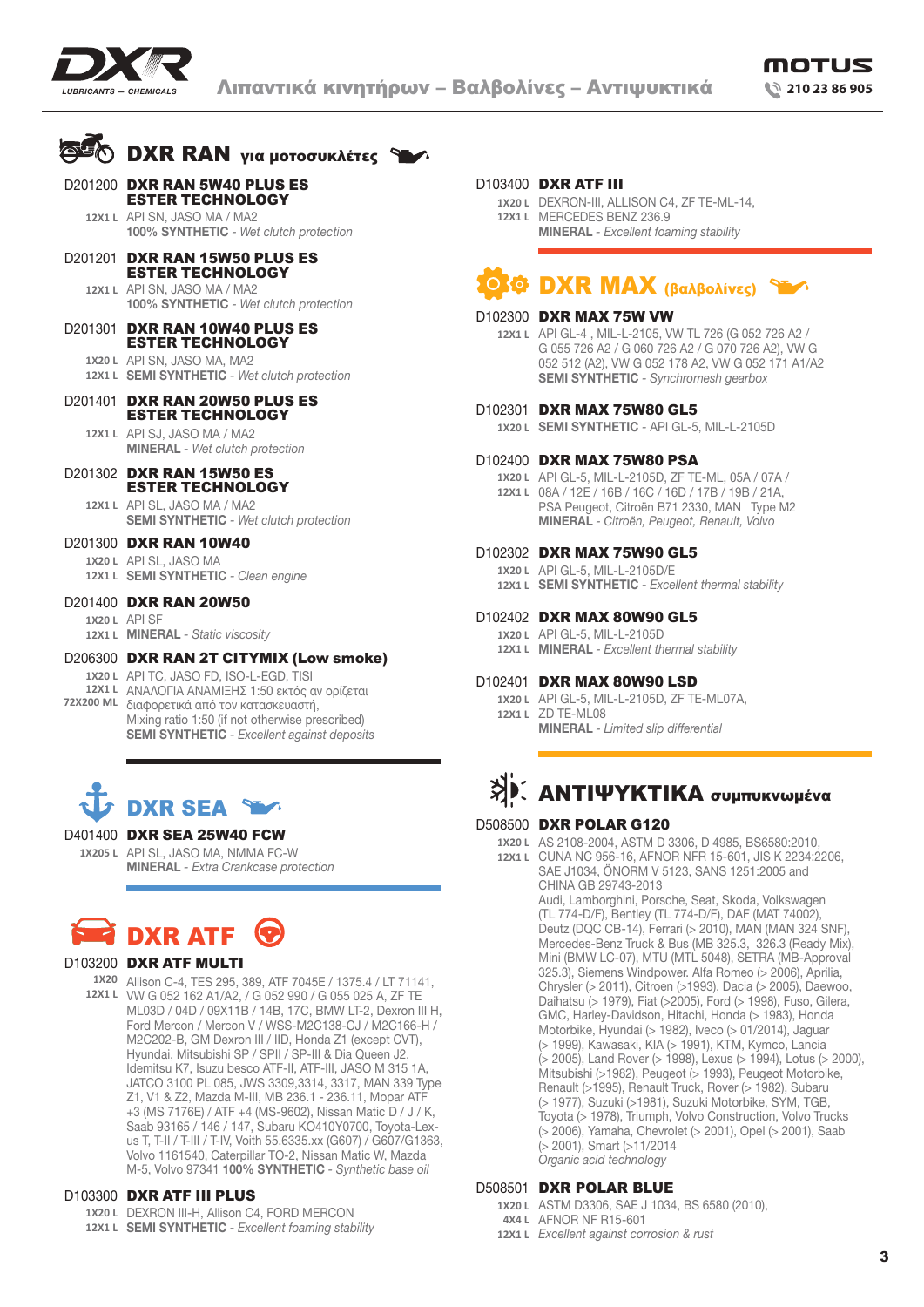

# **DXR RAN** για μοτοσυκλέτες

- D201200 DXR RAN 5W40 PLUS ES ESTER TECHNOLOGY
	- **12x1 L** API SN, JASO MA / MA2 **100% SYNTHETIC** *- Wet clutch protection*
- D201201 DXR RAN 15W50 PLUS ES ESTER TECHNOLOGY
	- **12x1 L** API SN, JASO MA / MA2 **100% SYNTHETIC** *- Wet clutch protection*
- API SN, JASO MA, MA2 **1X20 L** D201301 DXR RAN 10W40 PLUS ES ESTER TECHNOLOGY
	- 12X1 L SEMI SYNTHETIC Wet clutch protection
- D201401 DXR RAN 20W50 PLUS ES ESTER TECHNOLOGY

**12x1 L** API SJ, JASO MA / MA2 **MINERAL** *- Wet clutch protection*

D201302 DXR RAN 15W50 ES ESTER TECHNOLOGY

**12x1 L** API SL, JASO MA / MA2 **SEMI SYNTHETIC** *- Wet clutch protection*

- API SL, JASO MA **1X20 L 12X1 L SEMI SYNTHETIC** - Clean engine D201300 **DXR RAN 10W40**
- D201400 DXR RAN 20W50

**1X20 L** API SF

**MINERAL** *- Static viscosity* **12X1 L**

API TC, JASO FD, ISO-L-EGD, TISΙ **1X20 L** 12X1 L ANAΛΟΓΙΑ ΑΝΑΜΙΞΗΣ 1:50 εκτός αν ορίζεται διαφορετικά από τον κατασκευαστή, **72X200 ML** Mixing ratio 1:50 (if not otherwise prescribed) **SEMI SYNTHETIC** *- Excellent against deposits* D206300 DXR RAN 2T CITYMIX (Low smoke)



## D401400 DXR SEA 25W40 FCW

1**x205 l** API SL, JASO MA, NMMA FC-W **MINERAL** *- Extra Crankcase protection*



# D103200 DXR ATF MULTI

**1X20** Allison C-4, TES 295, 389, ATF 7045E / 1375.4 / LT 71141, **12X1 L** VW G 052 162 A1/A2, / G 052 990 / G 055 025 A, ZF TE ML03D / 04D / 09X11B / 14B, 17C, BMW LT-2, Dexron III H, Ford Mercon / Mercon V / WSS-M2C138-CJ / M2C166-H / M2C202-B, GM Dexron III / IID, Honda Z1 (except CVT), Hyundai, Mitsubishi SP / SPII / SP-III & Dia Queen J2, Idemitsu K7, Isuzu besco ATF-II, ATF-III, JASO M 315 1A, JATCO 3100 PL 085, JWS 3309,3314, 3317, MAN 339 Type Z1, V1 & Z2, Mazda M-III, MB 236.1 - 236.11, Mopar ATF +3 (MS 7176E) / ATF +4 (MS-9602), Nissan Matic D / J / K, Saab 93165 / 146 / 147, Subaru KO410Y0700, Toyota-Lexus T, T-II / T-III / T-IV, Voith 55.6335.xx (G607) / G607/G1363, Volvo 1161540, Caterpillar TO-2, Nissan Matic W, Mazda M-5, Volvo 97341 **100% SYNTHETIC** *- Synthetic base oil*

#### D103300 DXR ATF III PLUS

- DEXRON III-H, Allison C4, FORD MERCON **1X20 L**
- **SEMI SYNTHETIC** *Excellent foaming stability* **12X1 L**

# D103400 DXR ATF III

DEXRON-III, ALLISON C4, ZF TE-ML-14, **1X20 L** MERCEDES BENZ 236.9 **12X1 L MINERAL** *- Excellent foaming stability*

# DXR ΜΑΧ (βαλβολίνες)

#### D102300 DXR MAX 75W VW

API GL-4 , MIL-L-2105, VW TL 726 (G 052 726 A2 / **12X1 L** G 055 726 A2 / G 060 726 A2 / G 070 726 A2), VW G 052 512 (A2), VW G 052 178 A2, VW G 052 171 A1/A2 **SEMI SYNTHETIC** *- Synchromesh gearbox*

#### D102301 **DXR MAX 75W80 GL5**

**SEMI SYNTHETIC** *-* API GL-5, MIL-L-2105D **1X20 L**

# D102400 DXR MAX 75W80 PSA

API GL-5, MIL-L-2105D, ZF TE-ML, 05A / 07A / **1X20 L** 08A / 12E / 16B / 16C / 16D / 17B / 19B / 21A, **12X1 L** PSA Peugeot, Citroën B71 2330, MAN Type M2 **MINERAL** *- Citroën, Peugeot, Renault, Volvo*

# D102302 DXR MAX 75W90 GL5

API GL-5, MIL-L-2105D/E **1X20 L SEMI SYNTHETIC** *- Excellent thermal stability* **12X1 L**

# D102402 DXR MAX 80W90 GL5

- 1X20 L API GL-5, MIL-L-2105D
- **MINERAL** *Excellent thermal stability* **12X1 L**

# D102401 **DXR MAX 80W90 LSD**

API GL-5, MIL-L-2105D, ZF TE-ML07A, **1X20 L 12X1 L** ZD TE-ML08 **MINERAL** *- Limited slip differential*

# ΑΝΤΙΨΥΚΤΙΚΑ συμπυκνωμένα

# D508500 DXR POLAR G120

- AS 2108-2004, ASTM D 3306, D 4985, BS6580:2010, **1X20 L**
	- CUNA NC 956-16, AFNOR NFR 15-601, JIS K 2234:2206, **12X1 L** SAE J1034, ÖNORM V 5123, SANS 1251:2005 and CHINA GB 29743-2013

Audi, Lamborghini, Porsche, Seat, Skoda, Volkswagen (TL 774-D/F), Bentley (TL 774-D/F), DAF (MAT 74002), Deutz (DQC CB-14), Ferrari (> 2010), MAN (MAN 324 SNF), Mercedes-Benz Truck & Bus (MB 325.3, 326.3 (Ready Mix), Mini (BMW LC-07), MTU (MTL 5048), SETRA (MB-Approval 325.3), Siemens Windpower. Alfa Romeo (> 2006), Aprilia, Chrysler (> 2011), Citroen (>1993), Dacia (> 2005), Daewoo, Daihatsu (> 1979), Fiat (>2005), Ford (> 1998), Fuso, Gilera, GMC, Harley-Davidson, Hitachi, Honda (> 1983), Honda Motorbike, Hyundai (> 1982), Iveco (> 01/2014), Jaguar (> 1999), Kawasaki, KIA (> 1991), KTM, Kymco, Lancia (> 2005), Land Rover (> 1998), Lexus (> 1994), Lotus (> 2000), Mitsubishi (>1982), Peugeot (> 1993), Peugeot Motorbike, Renault (>1995), Renault Truck, Rover (> 1982), Subaru (> 1977), Suzuki (>1981), Suzuki Motorbike, SYM, TGB, Toyota (> 1978), Triumph, Volvo Construction, Volvo Trucks (> 2006), Yamaha, Chevrolet (> 2001), Opel (> 2001), Saab (> 2001), Smart (>11/2014 *Organic acid technology*

#### D508501 DXR POLAR BLUE

- ASTM D3306, SAE J 1034, BS 6580 (2010), **1X20 L**
- AFNOR NF R15-601 **4X4 L**
- *Excellent against corrosion & rust* **12X1 L**